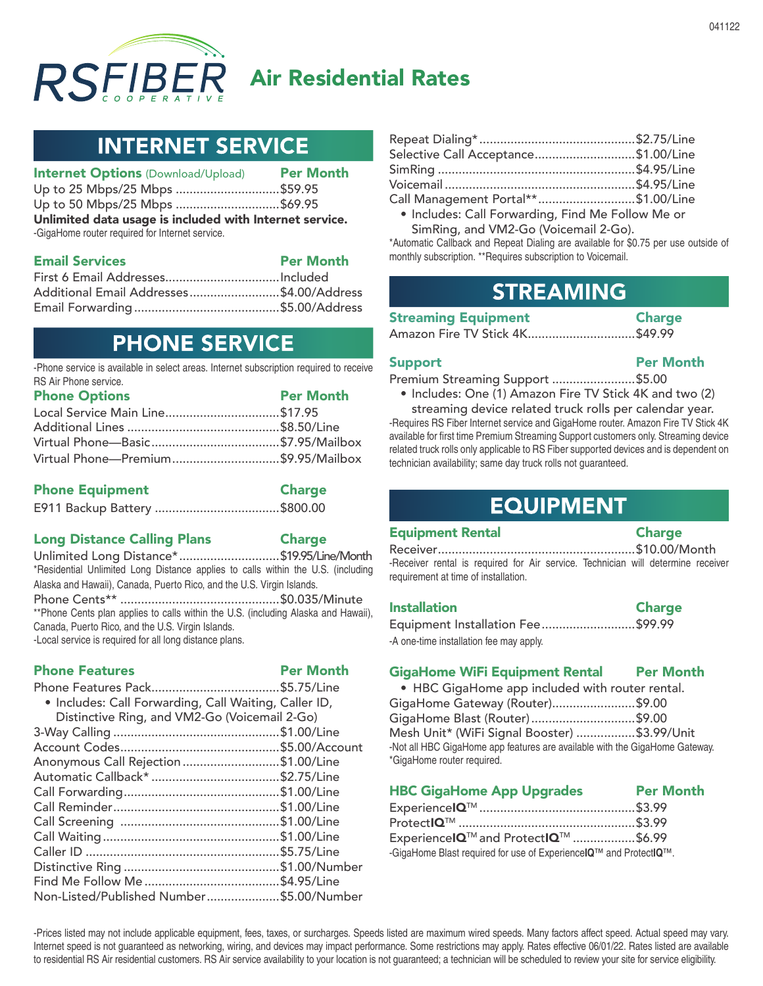

# Air Residential Rates

# **INTERNET SERVICE**

| <b>Internet Options (Download/Upload)</b>               | <b>Per Month</b> |  |  |
|---------------------------------------------------------|------------------|--|--|
| Up to 25 Mbps/25 Mbps \$59.95                           |                  |  |  |
| Up to 50 Mbps/25 Mbps \$69.95                           |                  |  |  |
| Unlimited data usage is included with Internet service. |                  |  |  |
| -GigaHome router required for Internet service.         |                  |  |  |
|                                                         | _ _ _ _          |  |  |

| <b>Email Services</b>                    | <b>Per Month</b> |
|------------------------------------------|------------------|
|                                          |                  |
| Additional Email Addresses\$4.00/Address |                  |
|                                          |                  |

# **PHONE SERVICE**

-Phone service is available in select areas. Internet subscription required to receive RS Air Phone service.

| <b>Phone Options</b>                | <b>Per Month</b> |
|-------------------------------------|------------------|
| Local Service Main Line\$17.95      |                  |
|                                     |                  |
|                                     |                  |
| Virtual Phone-Premium\$9.95/Mailbox |                  |

| <b>Phone Equipment</b> | <b>Charge</b> |
|------------------------|---------------|
|                        |               |

#### Long Distance Calling Plans Charge

Unlimited Long Distance\*.............................\$19.95/Line/Month \*Residential Unlimited Long Distance applies to calls within the U.S. (including Alaska and Hawaii), Canada, Puerto Rico, and the U.S. Virgin Islands. Phone Cents\*\* ..............................................\$0.035/Minute \*\*Phone Cents plan applies to calls within the U.S. (including Alaska and Hawaii), Canada, Puerto Rico, and the U.S. Virgin Islands. -Local service is required for all long distance plans.

#### Phone Features **Per Month**

| . Includes: Call Forwarding, Call Waiting, Caller ID, |  |
|-------------------------------------------------------|--|
| Distinctive Ring, and VM2-Go (Voicemail 2-Go)         |  |
|                                                       |  |
|                                                       |  |
| Anonymous Call Rejection \$1.00/Line                  |  |
|                                                       |  |
|                                                       |  |
|                                                       |  |
|                                                       |  |
|                                                       |  |
|                                                       |  |
|                                                       |  |
|                                                       |  |
| Non-Listed/Published Number\$5.00/Number              |  |

| Selective Call Acceptance\$1.00/Line |  |
|--------------------------------------|--|
|                                      |  |
|                                      |  |
| Call Management Portal**\$1.00/Line  |  |
|                                      |  |

• Includes: Call Forwarding, Find Me Follow Me or SimRing, and VM2-Go (Voicemail 2-Go).

\*Automatic Callback and Repeat Dialing are available for \$0.75 per use outside of monthly subscription. \*\*Requires subscription to Voicemail.

# **STREAMING**

| <b>Streaming Equipment</b> | <b>Charge</b> |
|----------------------------|---------------|
| Amazon Fire TV Stick AK    | \$49.99       |

|  | Amazon Fire TV Stick 4K\$49.99 |  |
|--|--------------------------------|--|
|  |                                |  |

### Support Per Month

Premium Streaming Support ........................\$5.00

• Includes: One (1) Amazon Fire TV Stick 4K and two (2)

streaming device related truck rolls per calendar year. -Requires RS Fiber Internet service and GigaHome router. Amazon Fire TV Stick 4K available for first time Premium Streaming Support customers only. Streaming device related truck rolls only applicable to RS Fiber supported devices and is dependent on technician availability; same day truck rolls not guaranteed.

### **EQUIPMENT**

#### Equipment Rental Charge

Receiver.........................................................\$10.00/Month -Receiver rental is required for Air service. Technician will determine receiver requirement at time of installation.

#### Installation **Charge** Equipment Installation Fee...........................\$99.99

-A one-time installation fee may apply.

### GigaHome WiFi Equipment Rental Per Month

• HBC GigaHome app included with router rental. GigaHome Gateway (Router)........................\$9.00 GigaHome Blast (Router)..............................\$9.00 Mesh Unit\* (WiFi Signal Booster) .................\$3.99/Unit -Not all HBC GigaHome app features are available with the GigaHome Gateway. \*GigaHome router required.

| <b>HBC GigaHome App Upgrades</b> | <b>Per Month</b> |
|----------------------------------|------------------|
| F * IATM                         | $\sim$ $\sim$    |

| ExperiencelQ™ and ProtectlQ™ \$6.99                               |  |
|-------------------------------------------------------------------|--|
| -GigaHome Blast required for use of ExperiencelQ™ and ProtectlQ™. |  |

-Prices listed may not include applicable equipment, fees, taxes, or surcharges. Speeds listed are maximum wired speeds. Many factors affect speed. Actual speed may vary. Internet speed is not guaranteed as networking, wiring, and devices may impact performance. Some restrictions may apply. Rates effective 06/01/22. Rates listed are available to residential RS Air residential customers. RS Air service availability to your location is not guaranteed; a technician will be scheduled to review your site for service eligibility.